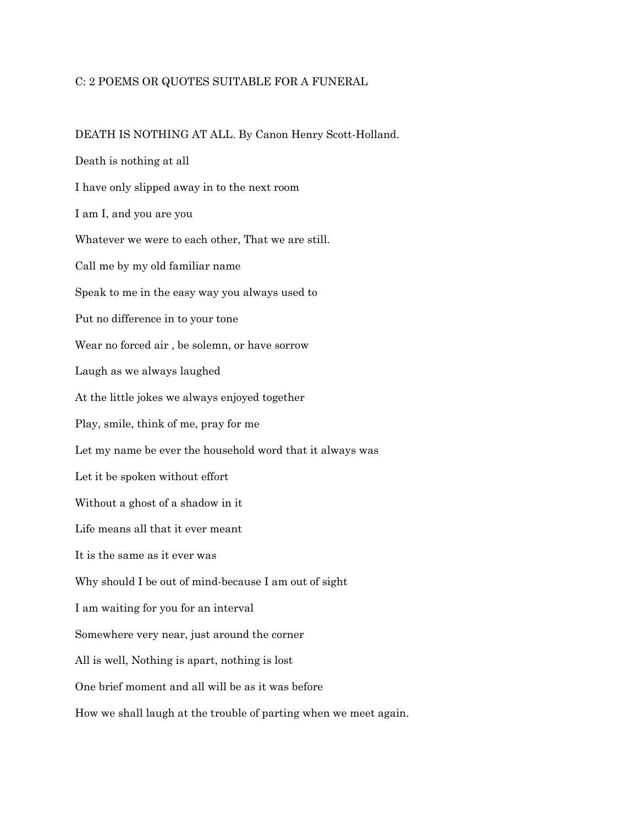## C: 2 POEMS OR QUOTES SUITABLE FOR A FUNERAL

DEATH IS NOTHING AT ALL. By Canon Henry Scott-Holland. Death is nothing at all I have only slipped away in to the next room I am I, and you are you Whatever we were to each other, That we are still. Call me by my old familiar name Speak to me in the easy way you always used to Put no difference in to your tone Wear no forced air , be solemn, or have sorrow Laugh as we always laughed At the little jokes we always enjoyed together Play, smile, think of me, pray for me Let my name be ever the household word that it always was Let it be spoken without effort Without a ghost of a shadow in it Life means all that it ever meant It is the same as it ever was Why should I be out of mind-because I am out of sight I am waiting for you for an interval Somewhere very near, just around the corner All is well, Nothing is apart, nothing is lost One brief moment and all will be as it was before How we shall laugh at the trouble of parting when we meet again.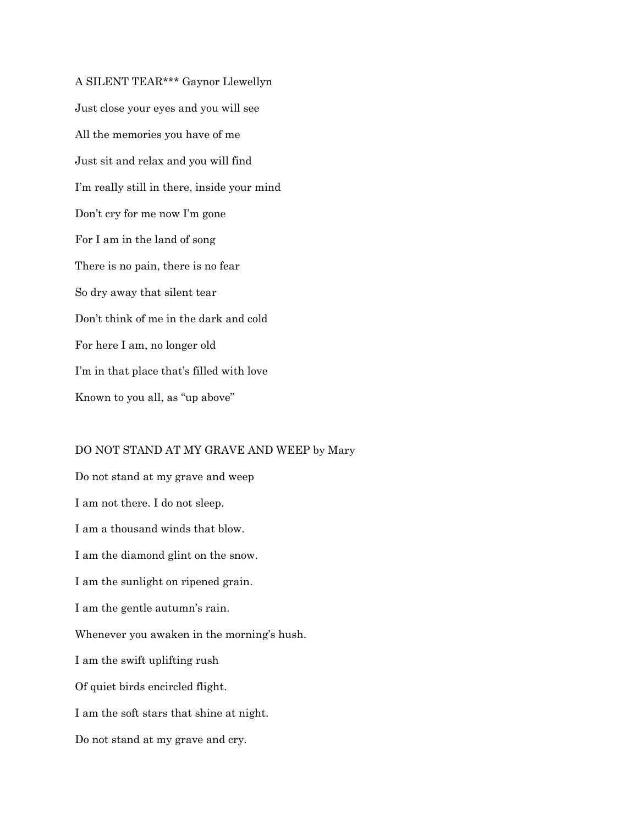A SILENT TEAR\*\*\* Gaynor Llewellyn Just close your eyes and you will see All the memories you have of me Just sit and relax and you will find I'm really still in there, inside your mind Don't cry for me now I'm gone For I am in the land of song There is no pain, there is no fear So dry away that silent tear Don't think of me in the dark and cold For here I am, no longer old I'm in that place that's filled with love Known to you all, as "up above"

## DO NOT STAND AT MY GRAVE AND WEEP by Mary

Do not stand at my grave and weep I am not there. I do not sleep. I am a thousand winds that blow. I am the diamond glint on the snow. I am the sunlight on ripened grain. I am the gentle autumn's rain. Whenever you awaken in the morning's hush. I am the swift uplifting rush Of quiet birds encircled flight. I am the soft stars that shine at night.

Do not stand at my grave and cry.